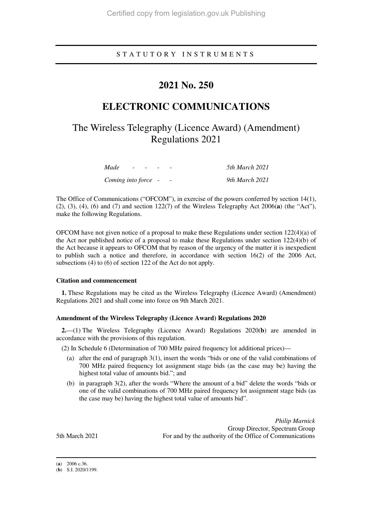### S T A T U T O R Y I N S T R U M E N T S

# **2021 No. 250**

# **ELECTRONIC COMMUNICATIONS**

# The Wireless Telegraphy (Licence Award) (Amendment) Regulations 2021

| Made                | $\overline{\phantom{a}}$ |  |  | 5th March 2021 |
|---------------------|--------------------------|--|--|----------------|
| Coming into force - |                          |  |  | 9th March 2021 |

The Office of Communications ("OFCOM"), in exercise of the powers conferred by section 14(1), (2), (3), (4), (6) and (7) and section 122(7) of the Wireless Telegraphy Act 2006(**a**) (the "Act"), make the following Regulations.

OFCOM have not given notice of a proposal to make these Regulations under section 122(4)(a) of the Act nor published notice of a proposal to make these Regulations under section  $122(4)(b)$  of the Act because it appears to OFCOM that by reason of the urgency of the matter it is inexpedient to publish such a notice and therefore, in accordance with section 16(2) of the 2006 Act, subsections (4) to (6) of section 122 of the Act do not apply.

#### **Citation and commencement**

**1.** These Regulations may be cited as the Wireless Telegraphy (Licence Award) (Amendment) Regulations 2021 and shall come into force on 9th March 2021.

### **Amendment of the Wireless Telegraphy (Licence Award) Regulations 2020**

**2.**—(1) The Wireless Telegraphy (Licence Award) Regulations 2020(**b**) are amended in accordance with the provisions of this regulation.

(2) In Schedule 6 (Determination of 700 MHz paired frequency lot additional prices)—

- (a) after the end of paragraph 3(1), insert the words "bids or one of the valid combinations of 700 MHz paired frequency lot assignment stage bids (as the case may be) having the highest total value of amounts bid."; and
- (b) in paragraph 3(2), after the words "Where the amount of a bid" delete the words "bids or one of the valid combinations of 700 MHz paired frequency lot assignment stage bids (as the case may be) having the highest total value of amounts bid".

*Philip Marnick* Group Director, Spectrum Group 5th March 2021 For and by the authority of the Office of Communications

(**a**) 2006 c.36.

-

<sup>(</sup>**b**) S.I. 2020/1199.